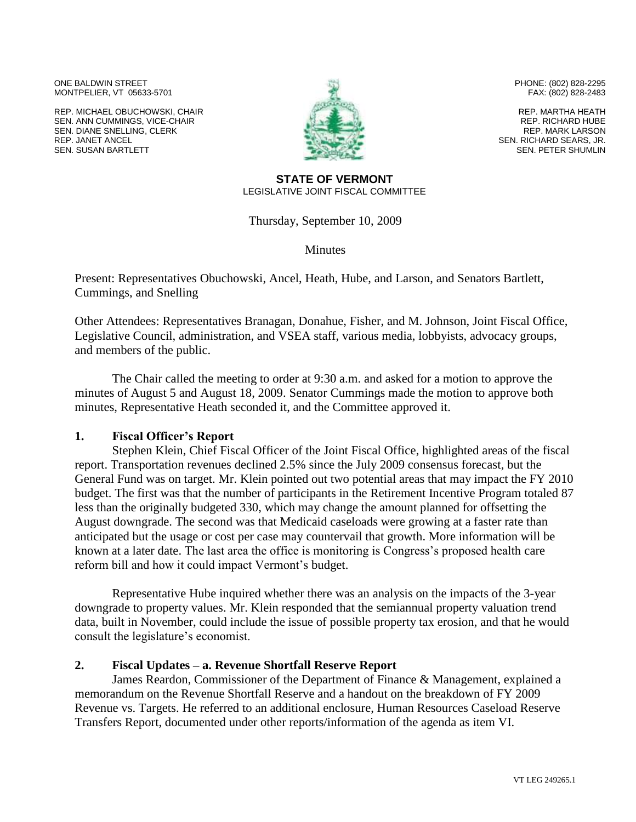ONE BALDWIN STREET MONTPELIER, VT 05633-5701

REP. MICHAEL OBUCHOWSKI, CHAIR SEN. ANN CUMMINGS, VICE-CHAIR SEN. DIANE SNELLING, CLERK REP. JANET ANCEL SEN. SUSAN BARTLETT



PHONE: (802) 828-2295 FAX: (802) 828-2483

REP. MARTHA HEATH REP. RICHARD HUBE REP. MARK LARSON SEN. RICHARD SEARS, JR. SEN. PETER SHUMLIN

#### **STATE OF VERMONT** LEGISLATIVE JOINT FISCAL COMMITTEE

Thursday, September 10, 2009

**Minutes** 

Present: Representatives Obuchowski, Ancel, Heath, Hube, and Larson, and Senators Bartlett, Cummings, and Snelling

Other Attendees: Representatives Branagan, Donahue, Fisher, and M. Johnson, Joint Fiscal Office, Legislative Council, administration, and VSEA staff, various media, lobbyists, advocacy groups, and members of the public.

The Chair called the meeting to order at 9:30 a.m. and asked for a motion to approve the minutes of August 5 and August 18, 2009. Senator Cummings made the motion to approve both minutes, Representative Heath seconded it, and the Committee approved it.

### **1. Fiscal Officer's Report**

Stephen Klein, Chief Fiscal Officer of the Joint Fiscal Office, highlighted areas of the fiscal report. Transportation revenues declined 2.5% since the July 2009 consensus forecast, but the General Fund was on target. Mr. Klein pointed out two potential areas that may impact the FY 2010 budget. The first was that the number of participants in the Retirement Incentive Program totaled 87 less than the originally budgeted 330, which may change the amount planned for offsetting the August downgrade. The second was that Medicaid caseloads were growing at a faster rate than anticipated but the usage or cost per case may countervail that growth. More information will be known at a later date. The last area the office is monitoring is Congress's proposed health care reform bill and how it could impact Vermont's budget.

Representative Hube inquired whether there was an analysis on the impacts of the 3-year downgrade to property values. Mr. Klein responded that the semiannual property valuation trend data, built in November, could include the issue of possible property tax erosion, and that he would consult the legislature's economist.

# **2. Fiscal Updates – a. Revenue Shortfall Reserve Report**

James Reardon, Commissioner of the Department of Finance & Management, explained a memorandum on the Revenue Shortfall Reserve and a handout on the breakdown of FY 2009 Revenue vs. Targets. He referred to an additional enclosure, Human Resources Caseload Reserve Transfers Report, documented under other reports/information of the agenda as item VI.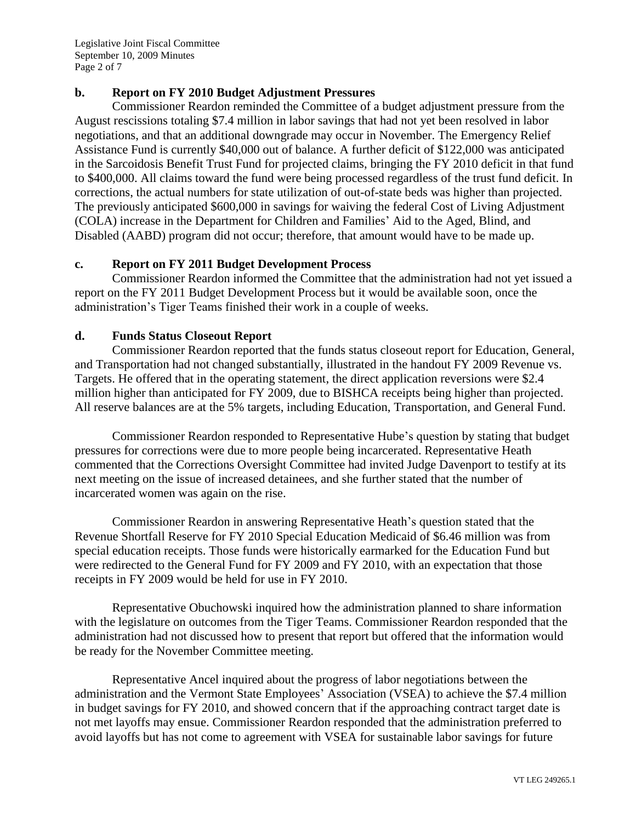Legislative Joint Fiscal Committee September 10, 2009 Minutes Page 2 of 7

# **b. Report on FY 2010 Budget Adjustment Pressures**

Commissioner Reardon reminded the Committee of a budget adjustment pressure from the August rescissions totaling \$7.4 million in labor savings that had not yet been resolved in labor negotiations, and that an additional downgrade may occur in November. The Emergency Relief Assistance Fund is currently \$40,000 out of balance. A further deficit of \$122,000 was anticipated in the Sarcoidosis Benefit Trust Fund for projected claims, bringing the FY 2010 deficit in that fund to \$400,000. All claims toward the fund were being processed regardless of the trust fund deficit. In corrections, the actual numbers for state utilization of out-of-state beds was higher than projected. The previously anticipated \$600,000 in savings for waiving the federal Cost of Living Adjustment (COLA) increase in the Department for Children and Families' Aid to the Aged, Blind, and Disabled (AABD) program did not occur; therefore, that amount would have to be made up.

# **c. Report on FY 2011 Budget Development Process**

Commissioner Reardon informed the Committee that the administration had not yet issued a report on the FY 2011 Budget Development Process but it would be available soon, once the administration's Tiger Teams finished their work in a couple of weeks.

# **d. Funds Status Closeout Report**

Commissioner Reardon reported that the funds status closeout report for Education, General, and Transportation had not changed substantially, illustrated in the handout FY 2009 Revenue vs. Targets. He offered that in the operating statement, the direct application reversions were \$2.4 million higher than anticipated for FY 2009, due to BISHCA receipts being higher than projected. All reserve balances are at the 5% targets, including Education, Transportation, and General Fund.

Commissioner Reardon responded to Representative Hube's question by stating that budget pressures for corrections were due to more people being incarcerated. Representative Heath commented that the Corrections Oversight Committee had invited Judge Davenport to testify at its next meeting on the issue of increased detainees, and she further stated that the number of incarcerated women was again on the rise.

Commissioner Reardon in answering Representative Heath's question stated that the Revenue Shortfall Reserve for FY 2010 Special Education Medicaid of \$6.46 million was from special education receipts. Those funds were historically earmarked for the Education Fund but were redirected to the General Fund for FY 2009 and FY 2010, with an expectation that those receipts in FY 2009 would be held for use in FY 2010.

Representative Obuchowski inquired how the administration planned to share information with the legislature on outcomes from the Tiger Teams. Commissioner Reardon responded that the administration had not discussed how to present that report but offered that the information would be ready for the November Committee meeting.

Representative Ancel inquired about the progress of labor negotiations between the administration and the Vermont State Employees' Association (VSEA) to achieve the \$7.4 million in budget savings for FY 2010, and showed concern that if the approaching contract target date is not met layoffs may ensue. Commissioner Reardon responded that the administration preferred to avoid layoffs but has not come to agreement with VSEA for sustainable labor savings for future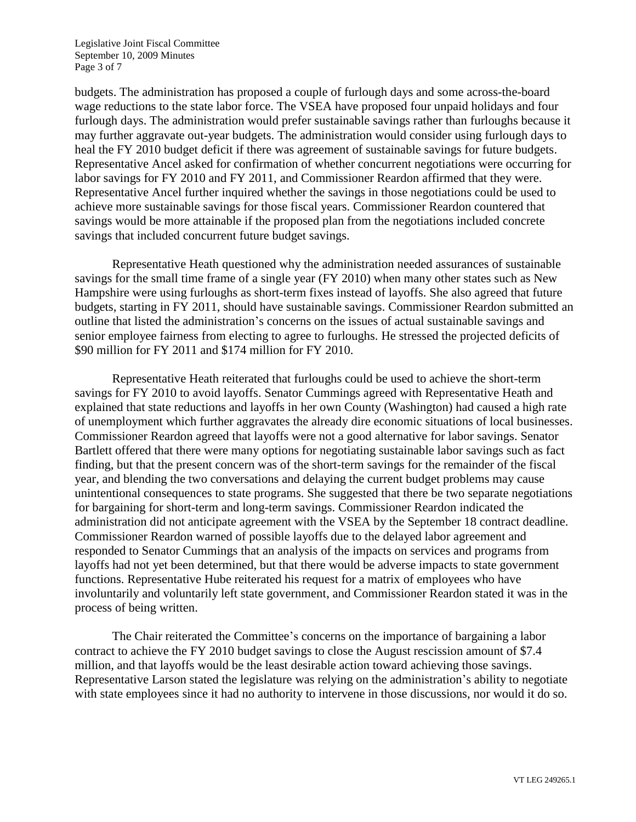Legislative Joint Fiscal Committee September 10, 2009 Minutes Page 3 of 7

budgets. The administration has proposed a couple of furlough days and some across-the-board wage reductions to the state labor force. The VSEA have proposed four unpaid holidays and four furlough days. The administration would prefer sustainable savings rather than furloughs because it may further aggravate out-year budgets. The administration would consider using furlough days to heal the FY 2010 budget deficit if there was agreement of sustainable savings for future budgets. Representative Ancel asked for confirmation of whether concurrent negotiations were occurring for labor savings for FY 2010 and FY 2011, and Commissioner Reardon affirmed that they were. Representative Ancel further inquired whether the savings in those negotiations could be used to achieve more sustainable savings for those fiscal years. Commissioner Reardon countered that savings would be more attainable if the proposed plan from the negotiations included concrete savings that included concurrent future budget savings.

Representative Heath questioned why the administration needed assurances of sustainable savings for the small time frame of a single year (FY 2010) when many other states such as New Hampshire were using furloughs as short-term fixes instead of layoffs. She also agreed that future budgets, starting in FY 2011, should have sustainable savings. Commissioner Reardon submitted an outline that listed the administration's concerns on the issues of actual sustainable savings and senior employee fairness from electing to agree to furloughs. He stressed the projected deficits of \$90 million for FY 2011 and \$174 million for FY 2010.

Representative Heath reiterated that furloughs could be used to achieve the short-term savings for FY 2010 to avoid layoffs. Senator Cummings agreed with Representative Heath and explained that state reductions and layoffs in her own County (Washington) had caused a high rate of unemployment which further aggravates the already dire economic situations of local businesses. Commissioner Reardon agreed that layoffs were not a good alternative for labor savings. Senator Bartlett offered that there were many options for negotiating sustainable labor savings such as fact finding, but that the present concern was of the short-term savings for the remainder of the fiscal year, and blending the two conversations and delaying the current budget problems may cause unintentional consequences to state programs. She suggested that there be two separate negotiations for bargaining for short-term and long-term savings. Commissioner Reardon indicated the administration did not anticipate agreement with the VSEA by the September 18 contract deadline. Commissioner Reardon warned of possible layoffs due to the delayed labor agreement and responded to Senator Cummings that an analysis of the impacts on services and programs from layoffs had not yet been determined, but that there would be adverse impacts to state government functions. Representative Hube reiterated his request for a matrix of employees who have involuntarily and voluntarily left state government, and Commissioner Reardon stated it was in the process of being written.

The Chair reiterated the Committee's concerns on the importance of bargaining a labor contract to achieve the FY 2010 budget savings to close the August rescission amount of \$7.4 million, and that layoffs would be the least desirable action toward achieving those savings. Representative Larson stated the legislature was relying on the administration's ability to negotiate with state employees since it had no authority to intervene in those discussions, nor would it do so.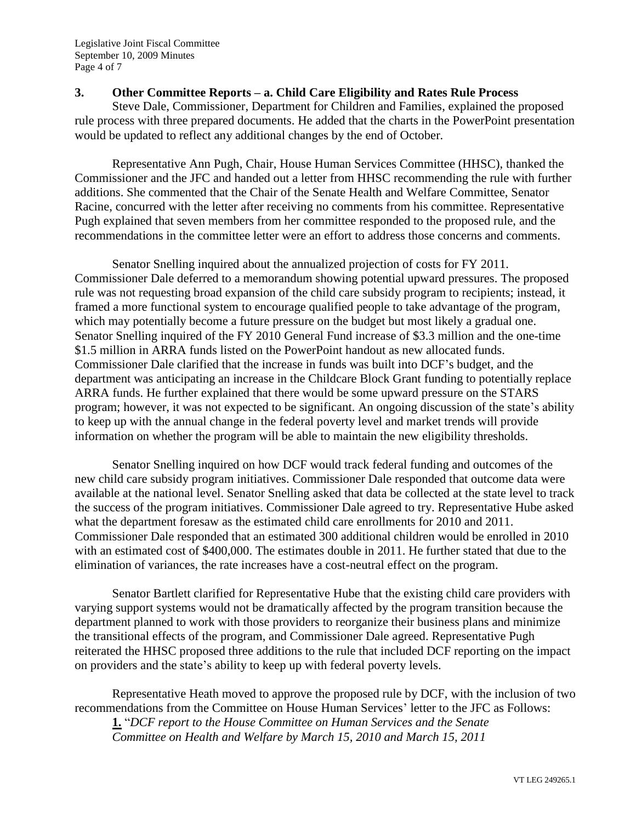### **3. Other Committee Reports – a. Child Care Eligibility and Rates Rule Process**

Steve Dale, Commissioner, Department for Children and Families, explained the proposed rule process with three prepared documents. He added that the charts in the PowerPoint presentation would be updated to reflect any additional changes by the end of October.

Representative Ann Pugh, Chair, House Human Services Committee (HHSC), thanked the Commissioner and the JFC and handed out a letter from HHSC recommending the rule with further additions. She commented that the Chair of the Senate Health and Welfare Committee, Senator Racine, concurred with the letter after receiving no comments from his committee. Representative Pugh explained that seven members from her committee responded to the proposed rule, and the recommendations in the committee letter were an effort to address those concerns and comments.

Senator Snelling inquired about the annualized projection of costs for FY 2011. Commissioner Dale deferred to a memorandum showing potential upward pressures. The proposed rule was not requesting broad expansion of the child care subsidy program to recipients; instead, it framed a more functional system to encourage qualified people to take advantage of the program, which may potentially become a future pressure on the budget but most likely a gradual one. Senator Snelling inquired of the FY 2010 General Fund increase of \$3.3 million and the one-time \$1.5 million in ARRA funds listed on the PowerPoint handout as new allocated funds. Commissioner Dale clarified that the increase in funds was built into DCF's budget, and the department was anticipating an increase in the Childcare Block Grant funding to potentially replace ARRA funds. He further explained that there would be some upward pressure on the STARS program; however, it was not expected to be significant. An ongoing discussion of the state's ability to keep up with the annual change in the federal poverty level and market trends will provide information on whether the program will be able to maintain the new eligibility thresholds.

Senator Snelling inquired on how DCF would track federal funding and outcomes of the new child care subsidy program initiatives. Commissioner Dale responded that outcome data were available at the national level. Senator Snelling asked that data be collected at the state level to track the success of the program initiatives. Commissioner Dale agreed to try. Representative Hube asked what the department foresaw as the estimated child care enrollments for 2010 and 2011. Commissioner Dale responded that an estimated 300 additional children would be enrolled in 2010 with an estimated cost of \$400,000. The estimates double in 2011. He further stated that due to the elimination of variances, the rate increases have a cost-neutral effect on the program.

Senator Bartlett clarified for Representative Hube that the existing child care providers with varying support systems would not be dramatically affected by the program transition because the department planned to work with those providers to reorganize their business plans and minimize the transitional effects of the program, and Commissioner Dale agreed. Representative Pugh reiterated the HHSC proposed three additions to the rule that included DCF reporting on the impact on providers and the state's ability to keep up with federal poverty levels.

Representative Heath moved to approve the proposed rule by DCF, with the inclusion of two recommendations from the Committee on House Human Services' letter to the JFC as Follows:

**1.** "*DCF report to the House Committee on Human Services and the Senate Committee on Health and Welfare by March 15, 2010 and March 15, 2011*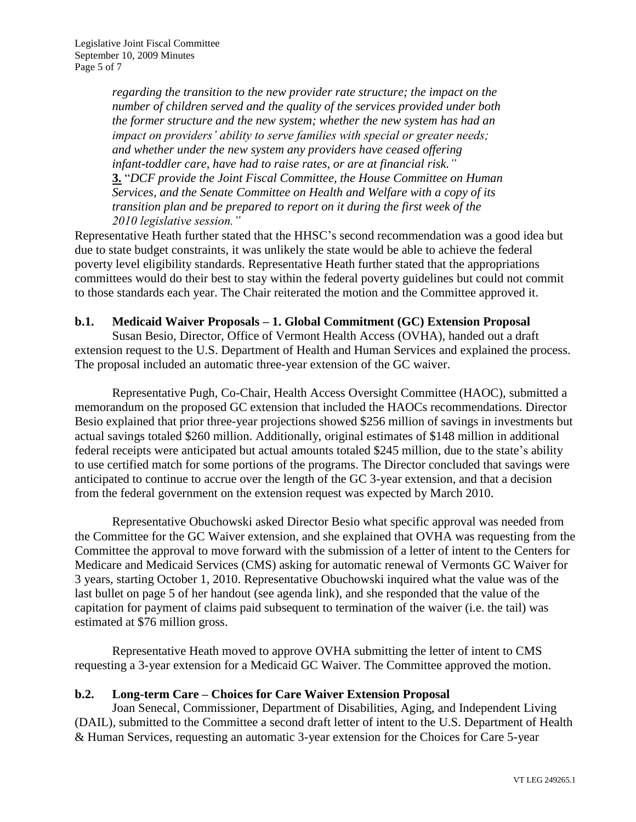*regarding the transition to the new provider rate structure; the impact on the number of children served and the quality of the services provided under both the former structure and the new system; whether the new system has had an impact on providers' ability to serve families with special or greater needs; and whether under the new system any providers have ceased offering infant-toddler care, have had to raise rates, or are at financial risk."*  **3.** "*DCF provide the Joint Fiscal Committee, the House Committee on Human Services, and the Senate Committee on Health and Welfare with a copy of its transition plan and be prepared to report on it during the first week of the 2010 legislative session."* 

Representative Heath further stated that the HHSC's second recommendation was a good idea but due to state budget constraints, it was unlikely the state would be able to achieve the federal poverty level eligibility standards. Representative Heath further stated that the appropriations committees would do their best to stay within the federal poverty guidelines but could not commit to those standards each year. The Chair reiterated the motion and the Committee approved it.

### **b.1. Medicaid Waiver Proposals – 1. Global Commitment (GC) Extension Proposal**

Susan Besio, Director, Office of Vermont Health Access (OVHA), handed out a draft extension request to the U.S. Department of Health and Human Services and explained the process. The proposal included an automatic three-year extension of the GC waiver.

Representative Pugh, Co-Chair, Health Access Oversight Committee (HAOC), submitted a memorandum on the proposed GC extension that included the HAOCs recommendations. Director Besio explained that prior three-year projections showed \$256 million of savings in investments but actual savings totaled \$260 million. Additionally, original estimates of \$148 million in additional federal receipts were anticipated but actual amounts totaled \$245 million, due to the state's ability to use certified match for some portions of the programs. The Director concluded that savings were anticipated to continue to accrue over the length of the GC 3-year extension, and that a decision from the federal government on the extension request was expected by March 2010.

Representative Obuchowski asked Director Besio what specific approval was needed from the Committee for the GC Waiver extension, and she explained that OVHA was requesting from the Committee the approval to move forward with the submission of a letter of intent to the Centers for Medicare and Medicaid Services (CMS) asking for automatic renewal of Vermonts GC Waiver for 3 years, starting October 1, 2010. Representative Obuchowski inquired what the value was of the last bullet on page 5 of her handout (see agenda link), and she responded that the value of the capitation for payment of claims paid subsequent to termination of the waiver (i.e. the tail) was estimated at \$76 million gross.

Representative Heath moved to approve OVHA submitting the letter of intent to CMS requesting a 3-year extension for a Medicaid GC Waiver. The Committee approved the motion.

### **b.2. Long-term Care – Choices for Care Waiver Extension Proposal**

Joan Senecal, Commissioner, Department of Disabilities, Aging, and Independent Living (DAIL), submitted to the Committee a second draft letter of intent to the U.S. Department of Health & Human Services, requesting an automatic 3-year extension for the Choices for Care 5-year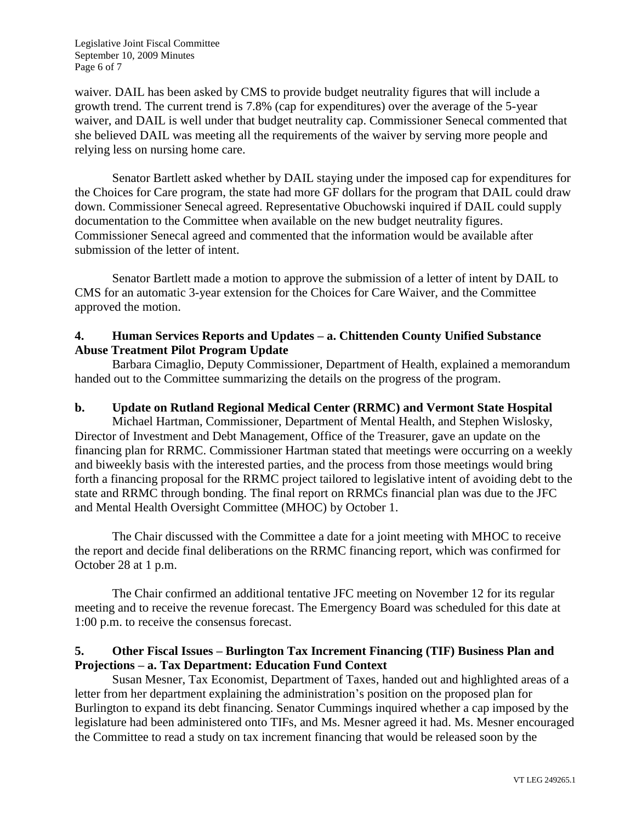waiver. DAIL has been asked by CMS to provide budget neutrality figures that will include a growth trend. The current trend is 7.8% (cap for expenditures) over the average of the 5-year waiver, and DAIL is well under that budget neutrality cap. Commissioner Senecal commented that she believed DAIL was meeting all the requirements of the waiver by serving more people and relying less on nursing home care.

Senator Bartlett asked whether by DAIL staying under the imposed cap for expenditures for the Choices for Care program, the state had more GF dollars for the program that DAIL could draw down. Commissioner Senecal agreed. Representative Obuchowski inquired if DAIL could supply documentation to the Committee when available on the new budget neutrality figures. Commissioner Senecal agreed and commented that the information would be available after submission of the letter of intent.

Senator Bartlett made a motion to approve the submission of a letter of intent by DAIL to CMS for an automatic 3-year extension for the Choices for Care Waiver, and the Committee approved the motion.

# **4. Human Services Reports and Updates – a. Chittenden County Unified Substance Abuse Treatment Pilot Program Update**

Barbara Cimaglio, Deputy Commissioner, Department of Health, explained a memorandum handed out to the Committee summarizing the details on the progress of the program.

# **b. Update on Rutland Regional Medical Center (RRMC) and Vermont State Hospital**

Michael Hartman, Commissioner, Department of Mental Health, and Stephen Wislosky, Director of Investment and Debt Management, Office of the Treasurer, gave an update on the financing plan for RRMC. Commissioner Hartman stated that meetings were occurring on a weekly and biweekly basis with the interested parties, and the process from those meetings would bring forth a financing proposal for the RRMC project tailored to legislative intent of avoiding debt to the state and RRMC through bonding. The final report on RRMCs financial plan was due to the JFC and Mental Health Oversight Committee (MHOC) by October 1.

The Chair discussed with the Committee a date for a joint meeting with MHOC to receive the report and decide final deliberations on the RRMC financing report, which was confirmed for October 28 at 1 p.m.

The Chair confirmed an additional tentative JFC meeting on November 12 for its regular meeting and to receive the revenue forecast. The Emergency Board was scheduled for this date at 1:00 p.m. to receive the consensus forecast.

### **5. Other Fiscal Issues – Burlington Tax Increment Financing (TIF) Business Plan and Projections – a. Tax Department: Education Fund Context**

Susan Mesner, Tax Economist, Department of Taxes, handed out and highlighted areas of a letter from her department explaining the administration's position on the proposed plan for Burlington to expand its debt financing. Senator Cummings inquired whether a cap imposed by the legislature had been administered onto TIFs, and Ms. Mesner agreed it had. Ms. Mesner encouraged the Committee to read a study on tax increment financing that would be released soon by the